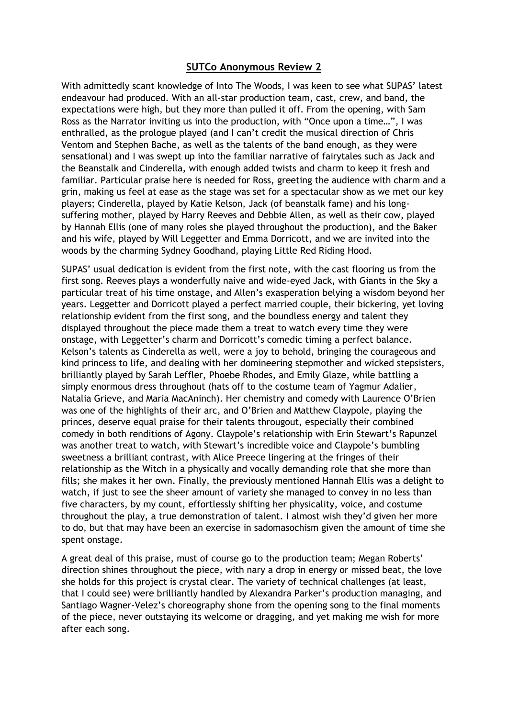## **SUTCo Anonymous Review 2**

With admittedly scant knowledge of Into The Woods, I was keen to see what SUPAS" latest endeavour had produced. With an all-star production team, cast, crew, and band, the expectations were high, but they more than pulled it off. From the opening, with Sam Ross as the Narrator inviting us into the production, with "Once upon a time…", I was enthralled, as the prologue played (and I can"t credit the musical direction of Chris Ventom and Stephen Bache, as well as the talents of the band enough, as they were sensational) and I was swept up into the familiar narrative of fairytales such as Jack and the Beanstalk and Cinderella, with enough added twists and charm to keep it fresh and familiar. Particular praise here is needed for Ross, greeting the audience with charm and a grin, making us feel at ease as the stage was set for a spectacular show as we met our key players; Cinderella, played by Katie Kelson, Jack (of beanstalk fame) and his longsuffering mother, played by Harry Reeves and Debbie Allen, as well as their cow, played by Hannah Ellis (one of many roles she played throughout the production), and the Baker and his wife, played by Will Leggetter and Emma Dorricott, and we are invited into the woods by the charming Sydney Goodhand, playing Little Red Riding Hood.

SUPAS" usual dedication is evident from the first note, with the cast flooring us from the first song. Reeves plays a wonderfully naive and wide-eyed Jack, with Giants in the Sky a particular treat of his time onstage, and Allen"s exasperation belying a wisdom beyond her years. Leggetter and Dorricott played a perfect married couple, their bickering, yet loving relationship evident from the first song, and the boundless energy and talent they displayed throughout the piece made them a treat to watch every time they were onstage, with Leggetter"s charm and Dorricott"s comedic timing a perfect balance. Kelson"s talents as Cinderella as well, were a joy to behold, bringing the courageous and kind princess to life, and dealing with her domineering stepmother and wicked stepsisters, brilliantly played by Sarah Leffler, Phoebe Rhodes, and Emily Glaze, while battling a simply enormous dress throughout (hats off to the costume team of Yagmur Adalier, Natalia Grieve, and Maria MacAninch). Her chemistry and comedy with Laurence O"Brien was one of the highlights of their arc, and O"Brien and Matthew Claypole, playing the princes, deserve equal praise for their talents througout, especially their combined comedy in both renditions of Agony. Claypole"s relationship with Erin Stewart"s Rapunzel was another treat to watch, with Stewart's incredible voice and Claypole's bumbling sweetness a brilliant contrast, with Alice Preece lingering at the fringes of their relationship as the Witch in a physically and vocally demanding role that she more than fills; she makes it her own. Finally, the previously mentioned Hannah Ellis was a delight to watch, if just to see the sheer amount of variety she managed to convey in no less than five characters, by my count, effortlessly shifting her physicality, voice, and costume throughout the play, a true demonstration of talent. I almost wish they"d given her more to do, but that may have been an exercise in sadomasochism given the amount of time she spent onstage.

A great deal of this praise, must of course go to the production team; Megan Roberts" direction shines throughout the piece, with nary a drop in energy or missed beat, the love she holds for this project is crystal clear. The variety of technical challenges (at least, that I could see) were brilliantly handled by Alexandra Parker"s production managing, and Santiago Wagner-Velez"s choreography shone from the opening song to the final moments of the piece, never outstaying its welcome or dragging, and yet making me wish for more after each song.